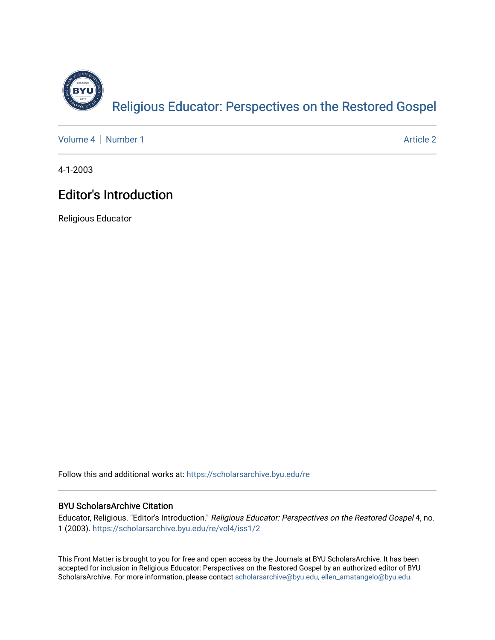

[Volume 4](https://scholarsarchive.byu.edu/re/vol4) | [Number 1](https://scholarsarchive.byu.edu/re/vol4/iss1) Article 2

4-1-2003

## **Editor's Introduction**

Religious Educator

Follow this and additional works at: [https://scholarsarchive.byu.edu/re](https://scholarsarchive.byu.edu/re?utm_source=scholarsarchive.byu.edu%2Fre%2Fvol4%2Fiss1%2F2&utm_medium=PDF&utm_campaign=PDFCoverPages)

## BYU ScholarsArchive Citation

Educator, Religious. "Editor's Introduction." Religious Educator: Perspectives on the Restored Gospel 4, no. 1 (2003). [https://scholarsarchive.byu.edu/re/vol4/iss1/2](https://scholarsarchive.byu.edu/re/vol4/iss1/2?utm_source=scholarsarchive.byu.edu%2Fre%2Fvol4%2Fiss1%2F2&utm_medium=PDF&utm_campaign=PDFCoverPages) 

This Front Matter is brought to you for free and open access by the Journals at BYU ScholarsArchive. It has been accepted for inclusion in Religious Educator: Perspectives on the Restored Gospel by an authorized editor of BYU ScholarsArchive. For more information, please contact [scholarsarchive@byu.edu, ellen\\_amatangelo@byu.edu.](mailto:scholarsarchive@byu.edu,%20ellen_amatangelo@byu.edu)